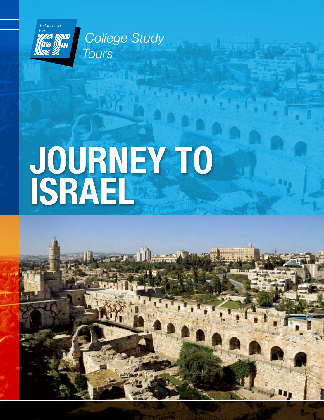

**College Study** Tours

# Journey to Israel

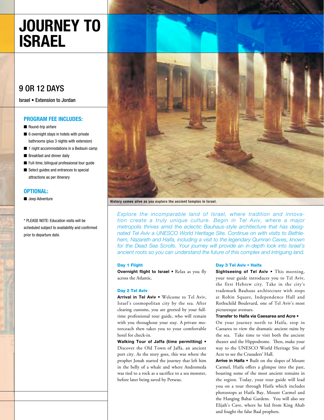# Journey to Israel

### 9 or 12 Days

Israel • Extension to Jordan

#### Program Fee includes:

- Round-trip airfare
- 6 overnight stays in hotels with private bathrooms (plus 3 nights with extension)
- 1 night accommodations in a Bedouin camp
- Breakfast and dinner daily
- Full-time, bilingual professional tour quide
- Select quides and entrances to special attractions as per itinerary

#### OPTIONAL:

■ Jeep Adventure

\* PLEASE NOTE: Education visits will be scheduled subject to availability and confirmed prior to departure date.



History comes alive as you explore the ancient temples in Israel.

*Explore the incomparable land of Israel, where tradition and innovation create a truly unique culture. Begin in Tel Aviv, where a major metropolis thrives amid the eclectic Bauhaus-style architecture that has designated Tel Aviv a UNESCO World Heritage Site. Continue on with visits to Bethlehem, Nazareth and Haifa, including a visit to the legendary Qumran Caves, known for the Dead Sea Scrolls. Your journey will provide an in-depth look into Israel's ancient roots so you can understand the future of this complex and intriguing land.* 

#### Day 1 Flight

Overnight flight to Israel . Relax as you fly across the Atlantic.

#### Day 2 Tel Aviv

Arrival in Tel Aviv • Welcome to Tel Aviv, Israel's cosmopolitan city by the sea. After clearing customs, you are greeted by your fulltime professional tour guide, who will remain with you throughout your stay. A private motorcoach then takes you to your comfortable hotel for check-in.

Walking Tour of Jaffa (time permitting) • Discover the Old Town of Jaffa, an ancient port city. As the story goes, this was where the prophet Jonah started the journey that left him in the belly of a whale and where Andromeda was tied to a rock as a sacrifice to a sea monster, before later being saved by Perseus.

#### Day 3 Tel Aviv • Haifa

Sightseeing of Tel Aviv . This morning, your tour guide introduces you to Tel Aviv, the first Hebrew city. Take in the city's trademark Bauhaus architecture with stops at Robin Square, Independence Hall and Rothschild Boulevard, one of Tel Aviv's most picturesque avenues.

#### Transfer to Haifa via Caesarea and Acre •

On your journey north to Haifa, stop in Caesarea to view the dramatic ancient ruins by the sea. Take time to visit both the ancient theater and the Hippodrome. Then, make your way to the UNESCO World Heritage Site of Acre to see the Crusaders' Hall.

Arrive in Haifa • Built on the slopes of Mount Carmel, Haifa offers a glimpse into the past, boasting some of the most ancient remains in the region. Today, your tour guide will lead you on a tour through Haifa which includes photostops at Haifa Bay, Mount Carmel and the Hanging Bahai Gardens. You will also see Elijah's Cave, where he hid from King Ahab and fought the false Baal prophets.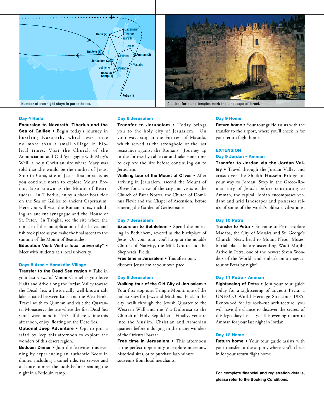



Day 4 Haifa

Excursion to Nazareth, Tiberius and the Sea of Galilee • Begin today's journey in bustling Nazareth, which was once no more than a small village in biblical times. Visit the Church of the Annunciation and Old Synagogue with Mary's Well, a holy Christian site where Mary was told that she would be the mother of Jesus. Stop in Cana, site of Jesus' first miracle, as you continue north to explore Mount Eremos (also known as the Mount of Beatitudes). In Tiberius, enjoy a short boat ride on the Sea of Galilee to ancient Capernaum. Here you will visit the Roman ruins, including an ancient synagogue and the House of St. Peter. In Tabgha, see the site where the miracle of the multiplication of the loaves and fish took place as you make the final ascent to the summit of the Mount of Beatitudes.

Education Visit: Visit a local university\* • Meet with students at a local university.

#### Days 5 Arad • Hanokdim Village

Transfer to the Dead Sea region • Take in your last views of Mount Carmel as you leave Haifa and drive along the Jordan Valley toward the Dead Sea, a historically well-known salt lake situated between Israel and the West Bank. Travel south to Qumran and visit the Quarantal Monastery, the site where the first Dead Sea scrolls were found in 1947. If there is time this afternoon, enjoy floating on the Dead Sea.

Optional Jeep Adventure • Opt to join a safari by Jeep this afternoon to explore the wonders of this desert region.

Bedouin Dinner • Join the festivities this evening by experiencing an authentic Bedouin dinner, including a camel ride, tea service and a chance to meet the locals before spending the night in a Bedouin camp.

#### Day 6 Jerusalem

Transfer to Jerusalem . Today brings you to the holy city of Jerusalem. On your way, stop at the Fortress of Masada, which served as the stronghold of the last resistance against the Romans. Journey up to the fortress by cable car and take some time to explore the site before continuing on to Jerusalem.

Walking tour of the Mount of Olives . After arriving in Jerusalem, ascend the Mount of Olives for a view of the city and visits to the Church of Pater Noster, the Church of Dominus Flevit and the Chapel of Ascension, before entering the Garden of Gethsemane.

#### Day 7 Jerusalem

Excursion to Bethlehem • Spend the morning in Bethlehem, revered as the birthplace of Jesus. On your tour, you'll stop at the notable Church of Nativity, the Milk Grotto and the Shepherds' Fields.

Free time in Jerusalem • This afternoon, discover Jerusalem at your own pace.

#### Day 8 Jerusalem

Walking tour of the Old City of Jerusalem • Your first stop is at Temple Mount, one of the holiest sites for Jews and Muslims. Back in the city, walk through the Jewish Quarter to the Western Wall and the Via Dolorosa to the Church of Holy Sepulcher. Finally, venture into the Muslim, Christian and Armenian quarters before indulging in the many wonders of the Oriental Bazaar.

Free time in Jerusalem . This afternoon is the perfect opporunity to explore museums, historical sites, or to purchase last-minute souvenirs from local merchants.

#### Day 9 Home

Return home • Your tour guide assists with the transfer to the airport, where you'll check in for your return flight home.

#### **EXTENSION** Day 9 Jordan • Amman

Transfer to Jordan via the Jordan Valley • Travel through the Jordan Valley and cross over the Sheikh Hussein Bridge on your way to Jordan. Stop in the Greco-Roman city of Jerash before continuing to Amman, the capital. Jordan encompasses verdant and arid landscapes and possesses relics of some of the world's oldest civilizations.

#### Day 10 Petra

Transfer to Petra • En route to Petra, explore Madaba, the City of Mosaics and St. George's Church. Next, head to Mount Nebo, Moses' burial place, before ascending Wadi Mujib. Arrive in Petra, one of the newest Seven Wonders of the World, and embark on a magical tour of Petra by night!

#### Day 11 Petra • Amman

Sightseeing of Petra · Join your tour guide today for a sightseeing of ancient Petra, a UNESCO World Heritage Site since 1985. Renowned for its rock-cut architecture, you will have the chance to discover the secrets of this legendary lost city. This evening return to Amman for your last night in Jordan.

#### Day 12 Home

Return home . Your tour guide assists with your transfer to the airport, where you'll check in for your return flight home.

For complete financial and registration details, please refer to the Booking Conditions.